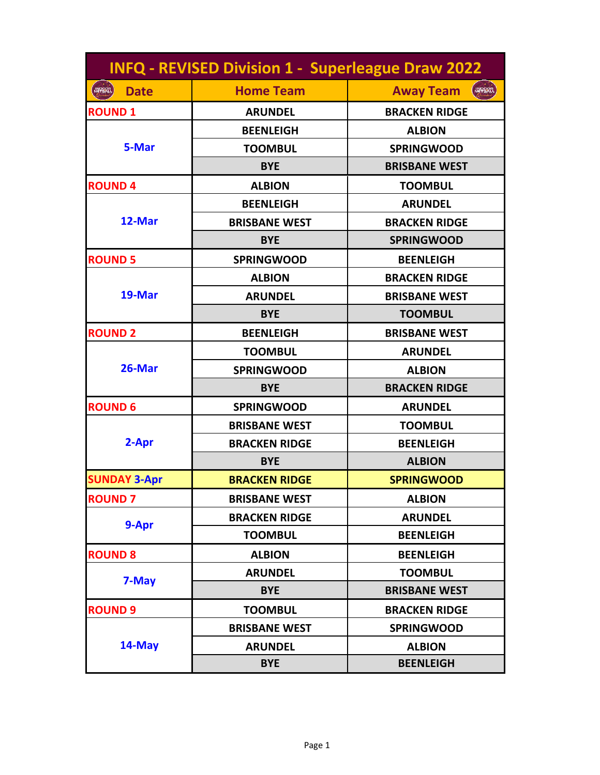| <b>INFQ - REVISED Division 1 - Superleague Draw 2022</b> |                      |                                   |
|----------------------------------------------------------|----------------------|-----------------------------------|
| <b>Date</b><br><b>NETBALL</b>                            | <b>Home Team</b>     | <b>Away Team</b><br><b>INPORT</b> |
| <b>ROUND 1</b>                                           | <b>ARUNDEL</b>       | <b>BRACKEN RIDGE</b>              |
| 5-Mar                                                    | <b>BEENLEIGH</b>     | <b>ALBION</b>                     |
|                                                          | <b>TOOMBUL</b>       | <b>SPRINGWOOD</b>                 |
|                                                          | <b>BYE</b>           | <b>BRISBANE WEST</b>              |
| <b>ROUND4</b>                                            | <b>ALBION</b>        | <b>TOOMBUL</b>                    |
| 12-Mar                                                   | <b>BEENLEIGH</b>     | <b>ARUNDEL</b>                    |
|                                                          | <b>BRISBANE WEST</b> | <b>BRACKEN RIDGE</b>              |
|                                                          | <b>BYE</b>           | <b>SPRINGWOOD</b>                 |
| <b>ROUND 5</b>                                           | <b>SPRINGWOOD</b>    | <b>BEENLEIGH</b>                  |
| 19-Mar                                                   | <b>ALBION</b>        | <b>BRACKEN RIDGE</b>              |
|                                                          | <b>ARUNDEL</b>       | <b>BRISBANE WEST</b>              |
|                                                          | <b>BYE</b>           | <b>TOOMBUL</b>                    |
| <b>ROUND 2</b>                                           | <b>BEENLEIGH</b>     | <b>BRISBANE WEST</b>              |
| 26-Mar                                                   | <b>TOOMBUL</b>       | <b>ARUNDEL</b>                    |
|                                                          | <b>SPRINGWOOD</b>    | <b>ALBION</b>                     |
|                                                          | <b>BYE</b>           | <b>BRACKEN RIDGE</b>              |
| <b>ROUND 6</b>                                           | <b>SPRINGWOOD</b>    | <b>ARUNDEL</b>                    |
| 2-Apr                                                    | <b>BRISBANE WEST</b> | <b>TOOMBUL</b>                    |
|                                                          | <b>BRACKEN RIDGE</b> | <b>BEENLEIGH</b>                  |
|                                                          | <b>BYE</b>           | <b>ALBION</b>                     |
| <b>SUNDAY 3-Apr</b>                                      | <b>BRACKEN RIDGE</b> | <b>SPRINGWOOD</b>                 |
| <b>ROUND 7</b>                                           | <b>BRISBANE WEST</b> | <b>ALBION</b>                     |
| 9-Apr                                                    | <b>BRACKEN RIDGE</b> | <b>ARUNDEL</b>                    |
|                                                          | <b>TOOMBUL</b>       | <b>BEENLEIGH</b>                  |
| <b>ROUND 8</b>                                           | <b>ALBION</b>        | <b>BEENLEIGH</b>                  |
| 7-May                                                    | <b>ARUNDEL</b>       | <b>TOOMBUL</b>                    |
|                                                          | <b>BYE</b>           | <b>BRISBANE WEST</b>              |
| <b>ROUND 9</b>                                           | <b>TOOMBUL</b>       | <b>BRACKEN RIDGE</b>              |
| 14-May                                                   | <b>BRISBANE WEST</b> | <b>SPRINGWOOD</b>                 |
|                                                          | <b>ARUNDEL</b>       | <b>ALBION</b>                     |
|                                                          | <b>BYE</b>           | <b>BEENLEIGH</b>                  |